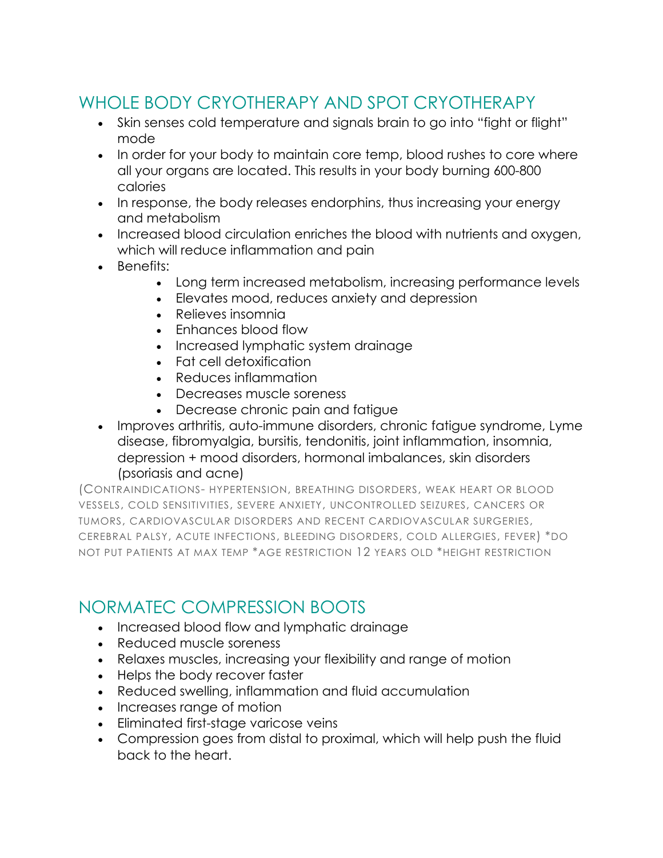# WHOLE BODY CRYOTHERAPY AND SPOT CRYOTHERAPY

- Skin senses cold temperature and signals brain to go into "fight or flight" mode
- In order for your body to maintain core temp, blood rushes to core where all your organs are located. This results in your body burning 600-800 calories
- In response, the body releases endorphins, thus increasing your energy and metabolism
- Increased blood circulation enriches the blood with nutrients and oxygen, which will reduce inflammation and pain
- Benefits:
	- Long term increased metabolism, increasing performance levels
	- Elevates mood, reduces anxiety and depression
	- Relieves insomnia
	- Enhances blood flow
	- Increased lymphatic system drainage
	- Fat cell detoxification
	- Reduces inflammation
	- Decreases muscle soreness
	- Decrease chronic pain and fatigue
- Improves arthritis, auto-immune disorders, chronic fatigue syndrome, Lyme disease, fibromyalgia, bursitis, tendonitis, joint inflammation, insomnia, depression + mood disorders, hormonal imbalances, skin disorders (psoriasis and acne)

(CONTRAINDICATIONS- HYPERTENSION, BREATHING DISORDERS, WEAK HEART OR BLOOD VESSELS, COLD SENSITIVITIES, SEVERE ANXIETY, UNCONTROLLED SEIZURES, CANCERS OR TUMORS, CARDIOVASCULAR DISORDERS AND RECENT CARDIOVASCULAR SURGERIES, CEREBRAL PALSY, ACUTE INFECTIONS, BLEEDING DISORDERS, COLD ALLERGIES, FEVER) \*DO NOT PUT PATIENTS AT MAX TEMP \*AGE RESTRICTION 12 YEARS OLD \*HEIGHT RESTRICTION

### NORMATEC COMPRESSION BOOTS

- Increased blood flow and lymphatic drainage
- Reduced muscle soreness
- Relaxes muscles, increasing your flexibility and range of motion
- Helps the body recover faster
- Reduced swelling, inflammation and fluid accumulation
- Increases range of motion
- Eliminated first-stage varicose veins
- Compression goes from distal to proximal, which will help push the fluid back to the heart.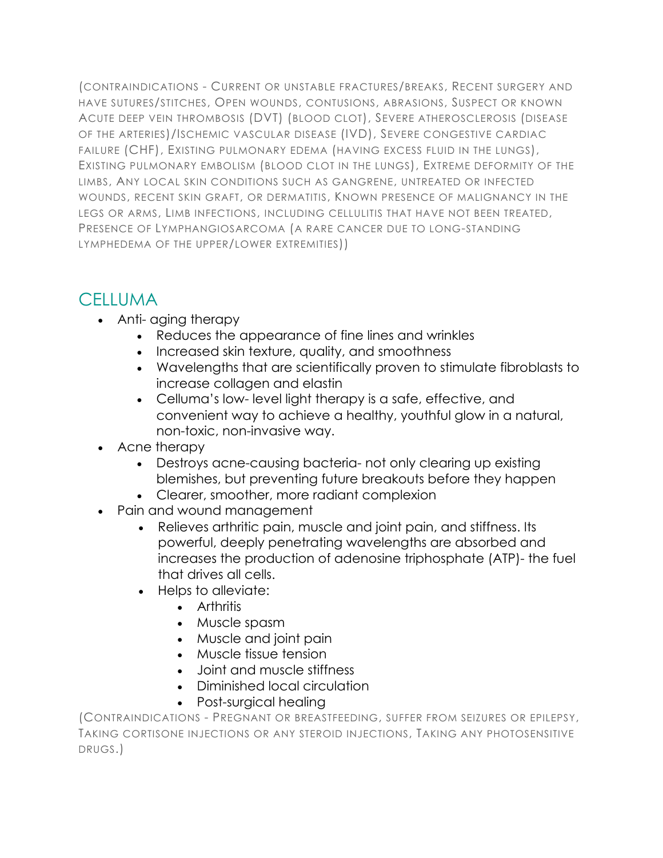(CONTRAINDICATIONS - CURRENT OR UNSTABLE FRACTURES/BREAKS, RECENT SURGERY AND HAVE SUTURES/STITCHES, OPEN WOUNDS, CONTUSIONS, ABRASIONS, SUSPECT OR KNOWN ACUTE DEEP VEIN THROMBOSIS (DVT) (BLOOD CLOT), SEVERE ATHEROSCLEROSIS (DISEASE OF THE ARTERIES)/ISCHEMIC VASCULAR DISEASE (IVD), SEVERE CONGESTIVE CARDIAC FAILURE (CHF), EXISTING PULMONARY EDEMA (HAVING EXCESS FLUID IN THE LUNGS), EXISTING PULMONARY EMBOLISM (BLOOD CLOT IN THE LUNGS), EXTREME DEFORMITY OF THE LIMBS, ANY LOCAL SKIN CONDITIONS SUCH AS GANGRENE, UNTREATED OR INFECTED WOUNDS, RECENT SKIN GRAFT, OR DERMATITIS, KNOWN PRESENCE OF MALIGNANCY IN THE LEGS OR ARMS, LIMB INFECTIONS, INCLUDING CELLULITIS THAT HAVE NOT BEEN TREATED, PRESENCE OF LYMPHANGIOSARCOMA (A RARE CANCER DUE TO LONG-STANDING LYMPHEDEMA OF THE UPPER/LOWER EXTREMITIES))

# **CELLUMA**

- Anti- aging therapy
	- Reduces the appearance of fine lines and wrinkles
	- Increased skin texture, quality, and smoothness
	- Wavelengths that are scientifically proven to stimulate fibroblasts to increase collagen and elastin
	- Celluma's low- level light therapy is a safe, effective, and convenient way to achieve a healthy, youthful glow in a natural, non-toxic, non-invasive way.
- Acne therapy
	- Destroys acne-causing bacteria- not only clearing up existing blemishes, but preventing future breakouts before they happen
	- Clearer, smoother, more radiant complexion
- Pain and wound management
	- Relieves arthritic pain, muscle and joint pain, and stiffness. Its powerful, deeply penetrating wavelengths are absorbed and increases the production of adenosine triphosphate (ATP)- the fuel that drives all cells.
	- Helps to alleviate:
		- Arthritis
		- Muscle spasm
		- Muscle and joint pain
		- Muscle tissue tension
		- Joint and muscle stiffness
		- Diminished local circulation
		- Post-surgical healing

(CONTRAINDICATIONS - PREGNANT OR BREASTFEEDING, SUFFER FROM SEIZURES OR EPILEPSY, TAKING CORTISONE INJECTIONS OR ANY STEROID INJECTIONS, TAKING ANY PHOTOSENSITIVE DRUGS.)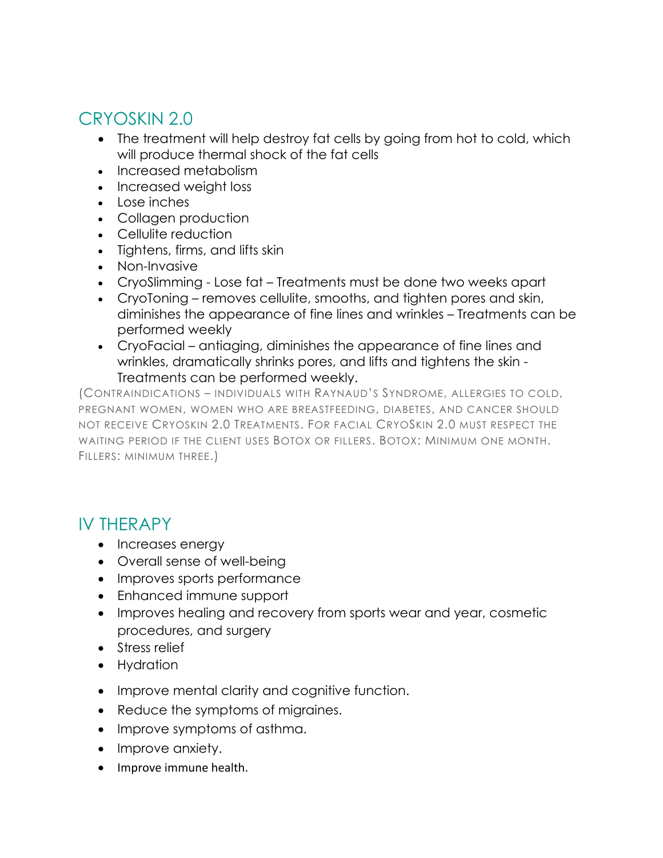## CRYOSKIN 2.0

- The treatment will help destroy fat cells by going from hot to cold, which will produce thermal shock of the fat cells
- Increased metabolism
- Increased weight loss
- Lose inches
- Collagen production
- Cellulite reduction
- Tightens, firms, and lifts skin
- Non-Invasive
- CryoSlimming Lose fat Treatments must be done two weeks apart
- CryoToning removes cellulite, smooths, and tighten pores and skin, diminishes the appearance of fine lines and wrinkles – Treatments can be performed weekly
- CryoFacial antiaging, diminishes the appearance of fine lines and wrinkles, dramatically shrinks pores, and lifts and tightens the skin - Treatments can be performed weekly.

(CONTRAINDICATIONS – INDIVIDUALS WITH RAYNAUD'S SYNDROME, ALLERGIES TO COLD, PREGNANT WOMEN, WOMEN WHO ARE BREASTFEEDING, DIABETES, AND CANCER SHOULD NOT RECEIVE CRYOSKIN 2.0 TREATMENTS. FOR FACIAL CRYOSKIN 2.0 MUST RESPECT THE WAITING PERIOD IF THE CLIENT USES BOTOX OR FILLERS. BOTOX: MINIMUM ONE MONTH. FILLERS: MINIMUM THREE.)

### IV THERAPY

- Increases energy
- Overall sense of well-being
- Improves sports performance
- Enhanced immune support
- Improves healing and recovery from sports wear and year, cosmetic procedures, and surgery
- Stress relief
- Hydration
- Improve mental clarity and cognitive function.
- Reduce the symptoms of migraines.
- Improve symptoms of asthma.
- Improve anxiety.
- Improve immune health.